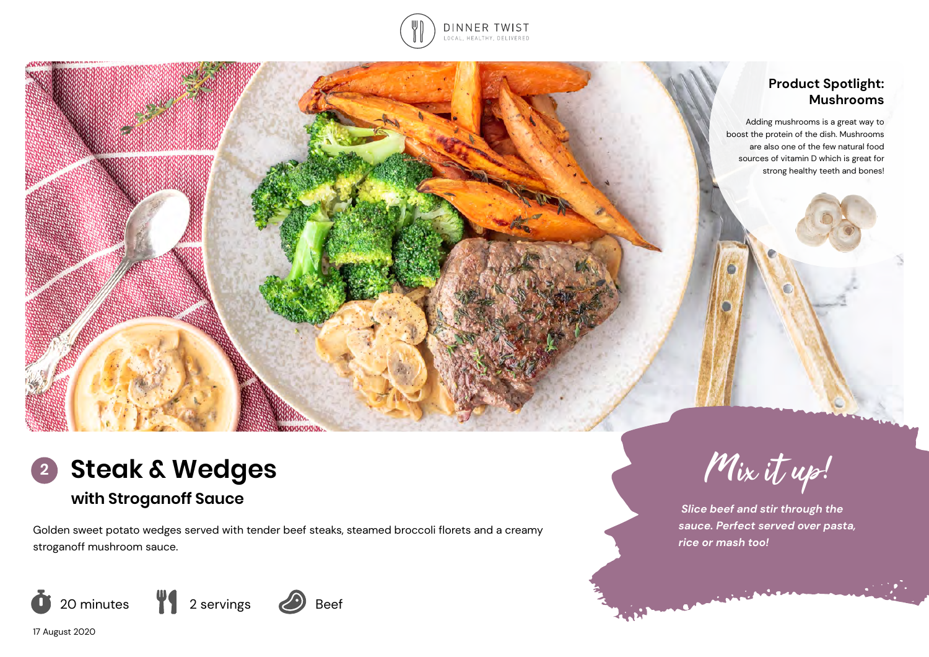

# **Product Spotlight: Mushrooms** Adding mushrooms is a great way to boost the protein of the dish. Mushrooms are also one of the few natural food sources of vitamin D which is great for strong healthy teeth and bones!

Mix it up!

 *Slice beef and stir through the sauce. Perfect served over pasta,* 

*rice or mash too!* 



# **with Stroganoff Sauce**

Golden sweet potato wedges served with tender beef steaks, steamed broccoli florets and a creamy stroganoff mushroom sauce.



17 August 2020